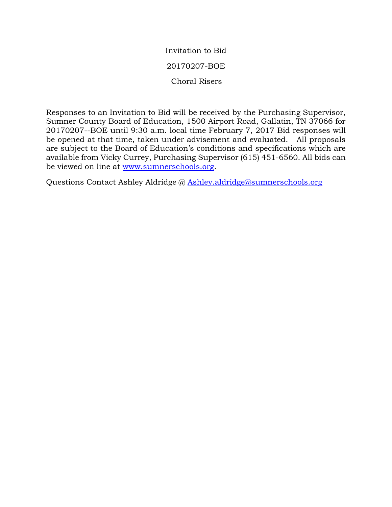Invitation to Bid 20170207-BOE Choral Risers

Responses to an Invitation to Bid will be received by the Purchasing Supervisor, Sumner County Board of Education, 1500 Airport Road, Gallatin, TN 37066 for 20170207--BOE until 9:30 a.m. local time February 7, 2017 Bid responses will be opened at that time, taken under advisement and evaluated. All proposals are subject to the Board of Education's conditions and specifications which are available from Vicky Currey, Purchasing Supervisor (615) 451-6560. All bids can be viewed on line at [www.sumnerschools.org.](http://www.sumnerschools.org/)

Questions Contact Ashley Aldridge @ [Ashley.aldridge@sumnerschools.org](mailto:Ashley.aldridge@sumnerschools.org)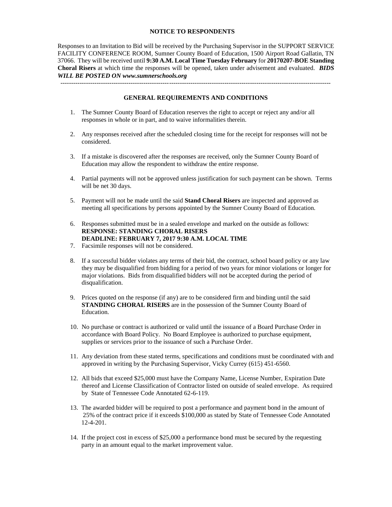#### **NOTICE TO RESPONDENTS**

Responses to an Invitation to Bid will be received by the Purchasing Supervisor in the SUPPORT SERVICE FACILITY CONFERENCE ROOM, Sumner County Board of Education, 1500 Airport Road Gallatin, TN 37066. They will be received until **9:30 A.M. Local Time Tuesday February** for **20170207-BOE Standing Choral Risers** at which time the responses will be opened, taken under advisement and evaluated. *BIDS WILL BE POSTED ON www.sumnerschools.org*

------------------------------------------------------------------------------------------------------------------------------- **GENERAL REQUIREMENTS AND CONDITIONS**

- 1. The Sumner County Board of Education reserves the right to accept or reject any and/or all responses in whole or in part, and to waive informalities therein.
- 2. Any responses received after the scheduled closing time for the receipt for responses will not be considered.
- 3. If a mistake is discovered after the responses are received, only the Sumner County Board of Education may allow the respondent to withdraw the entire response.
- 4. Partial payments will not be approved unless justification for such payment can be shown. Terms will be net 30 days.
- 5. Payment will not be made until the said **Stand Choral Risers** are inspected and approved as meeting all specifications by persons appointed by the Sumner County Board of Education.
- 6. Responses submitted must be in a sealed envelope and marked on the outside as follows: **RESPONSE: STANDING CHORAL RISERS DEADLINE: FEBRUARY 7, 2017 9:30 A.M. LOCAL TIME**
- 7. Facsimile responses will not be considered.
- 8. If a successful bidder violates any terms of their bid, the contract, school board policy or any law they may be disqualified from bidding for a period of two years for minor violations or longer for major violations. Bids from disqualified bidders will not be accepted during the period of disqualification.
- 9. Prices quoted on the response (if any) are to be considered firm and binding until the said **STANDING CHORAL RISERS** are in the possession of the Sumner County Board of Education.
- 10. No purchase or contract is authorized or valid until the issuance of a Board Purchase Order in accordance with Board Policy. No Board Employee is authorized to purchase equipment, supplies or services prior to the issuance of such a Purchase Order.
- 11. Any deviation from these stated terms, specifications and conditions must be coordinated with and approved in writing by the Purchasing Supervisor, Vicky Currey (615) 451-6560.
- 12. All bids that exceed \$25,000 must have the Company Name, License Number, Expiration Date thereof and License Classification of Contractor listed on outside of sealed envelope. As required by State of Tennessee Code Annotated 62-6-119.
- 13. The awarded bidder will be required to post a performance and payment bond in the amount of 25% of the contract price if it exceeds \$100,000 as stated by State of Tennessee Code Annotated 12-4-201.
- 14. If the project cost in excess of \$25,000 a performance bond must be secured by the requesting party in an amount equal to the market improvement value.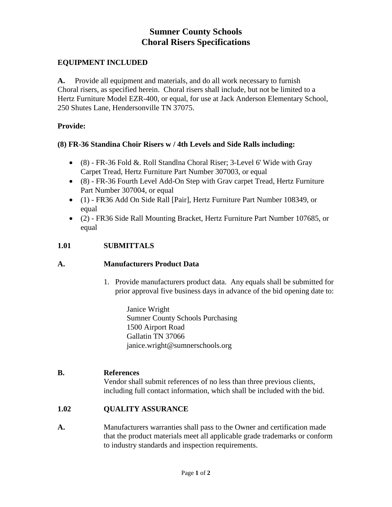# **Sumner County Schools Choral Risers Specifications**

## **EQUIPMENT INCLUDED**

**A.** Provide all equipment and materials, and do all work necessary to furnish Choral risers, as specified herein. Choral risers shall include, but not be limited to a Hertz Furniture Model EZR-400, or equal, for use at Jack Anderson Elementary School, 250 Shutes Lane, Hendersonville TN 37075.

### **Provide:**

# **(8) FR-36 Standina Choir Risers w / 4th Levels and Side Ralls including:**

- (8) FR-36 Fold &. Roll Standlna Choral Riser; 3-Level 6' Wide with Gray Carpet Tread, Hertz Furniture Part Number 307003, or equal
- (8) FR-36 Fourth Level Add-On Step with Grav carpet Tread, Hertz Furniture Part Number 307004, or equal
- (1) FR36 Add On Side Rall [Pair], Hertz Furniture Part Number 108349, or equal
- (2) FR36 Side Rall Mounting Bracket, Hertz Furniture Part Number 107685, or equal

## **1.01 SUBMITTALS**

#### **A. Manufacturers Product Data**

1. Provide manufacturers product data. Any equals shall be submitted for prior approval five business days in advance of the bid opening date to:

> Janice Wright Sumner County Schools Purchasing 1500 Airport Road Gallatin TN 37066 janice.wright@sumnerschools.org

#### **B. References**

Vendor shall submit references of no less than three previous clients, including full contact information, which shall be included with the bid.

# **1.02 QUALITY ASSURANCE**

**A.** Manufacturers warranties shall pass to the Owner and certification made that the product materials meet all applicable grade trademarks or conform to industry standards and inspection requirements.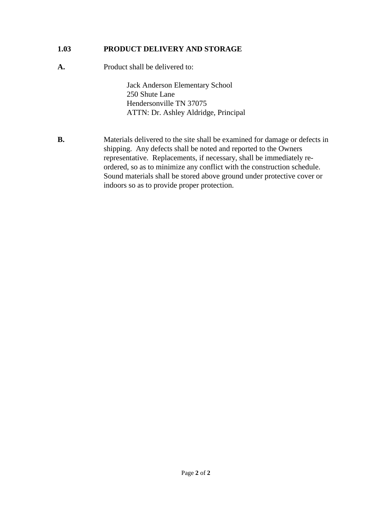# **1.03 PRODUCT DELIVERY AND STORAGE**

**A.** Product shall be delivered to:

Jack Anderson Elementary School 250 Shute Lane Hendersonville TN 37075 ATTN: Dr. Ashley Aldridge, Principal

**B.** Materials delivered to the site shall be examined for damage or defects in shipping. Any defects shall be noted and reported to the Owners representative. Replacements, if necessary, shall be immediately reordered, so as to minimize any conflict with the construction schedule. Sound materials shall be stored above ground under protective cover or indoors so as to provide proper protection.